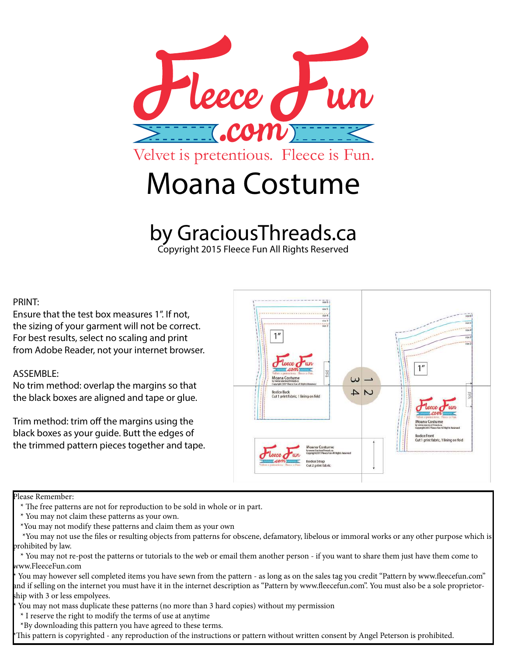

## by GraciousThreads.ca

Copyright 2015 Fleece Fun All Rights Reserved

## PRINT:

Ensure that the test box measures 1". If not, the sizing of your garment will not be correct. For best results, select no scaling and print from Adobe Reader, not your internet browser.

## ASSEMBLE:

No trim method: overlap the margins so that the black boxes are aligned and tape or glue.

Trim method: trim off the margins using the black boxes as your guide. Butt the edges of the trimmed pattern pieces together and tape.



## Please Remember:

You may however sell completed items you have sewn from the pattern - as long as on the sales tag you credit "Pattern by www.fleecefun.com" and if selling on the internet you must have it in the internet description as "Pattern by www.fleecefun.com". You must also be a sole proprietorship with 3 or less empolyees.

You may not mass duplicate these patterns (no more than 3 hard copies) without my permission

\* I reserve the right to modify the terms of use at anytime

\*By downloading this pattern you have agreed to these terms.

This pattern is copyrighted - any reproduction of the instructions or pattern without written consent by Angel Peterson is prohibited.

 <sup>\*</sup> The free patterns are not for reproduction to be sold in whole or in part.

 <sup>\*</sup> You may not claim these patterns as your own.

 <sup>\*</sup>You may not modify these patterns and claim them as your own

 <sup>\*</sup>You may not use the files or resulting objects from patterns for obscene, defamatory, libelous or immoral works or any other purpose which is prohibited by law.

 <sup>\*</sup> You may not re-post the patterns or tutorials to the web or email them another person - if you want to share them just have them come to www.FleeceFun.com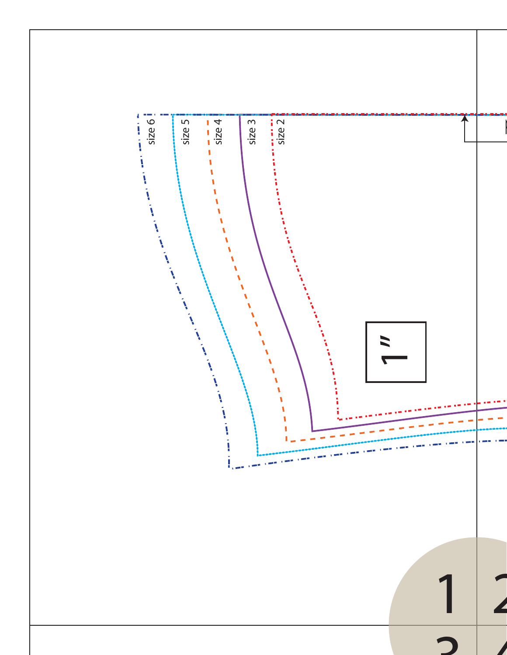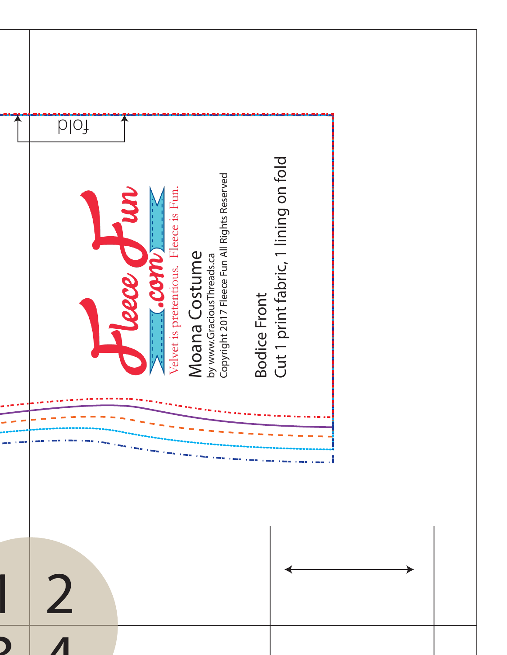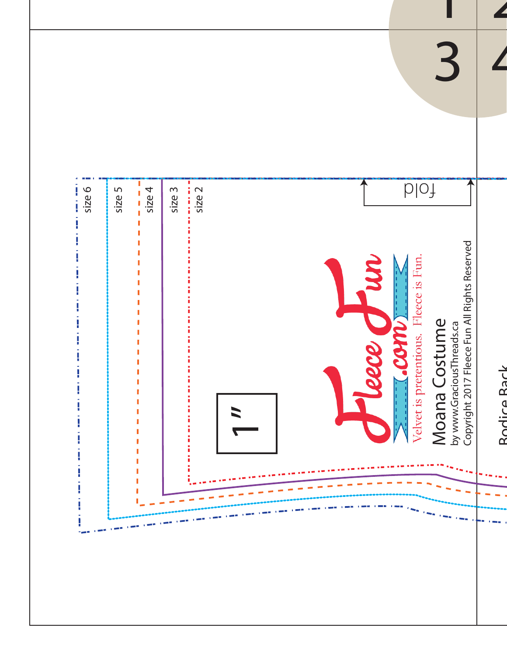